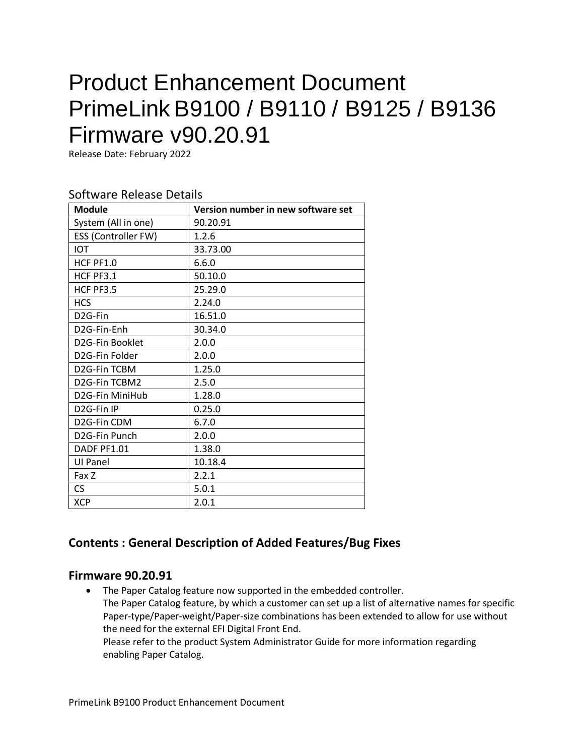# Product Enhancement Document PrimeLink B9100 / B9110 / B9125 / B9136 Firmware v90.20.91

Release Date: February 2022

#### Software Release Details

| <b>Module</b>              | Version number in new software set |
|----------------------------|------------------------------------|
| System (All in one)        | 90.20.91                           |
| ESS (Controller FW)        | 1.2.6                              |
| <b>IOT</b>                 | 33.73.00                           |
| HCF PF1.0                  | 6.6.0                              |
| HCF PF3.1                  | 50.10.0                            |
| HCF PF3.5                  | 25.29.0                            |
| <b>HCS</b>                 | 2.24.0                             |
| D <sub>2</sub> G-Fin       | 16.51.0                            |
| D <sub>2</sub> G-Fin-Enh   | 30.34.0                            |
| D2G-Fin Booklet            | 2.0.0                              |
| D2G-Fin Folder             | 2.0.0                              |
| D2G-Fin TCBM               | 1.25.0                             |
| D2G-Fin TCBM2              | 2.5.0                              |
| D2G-Fin MiniHub            | 1.28.0                             |
| D <sub>2</sub> G-Fin IP    | 0.25.0                             |
| D2G-Fin CDM                | 6.7.0                              |
| D <sub>2</sub> G-Fin Punch | 2.0.0                              |
| DADF PF1.01                | 1.38.0                             |
| <b>UI Panel</b>            | 10.18.4                            |
| Fax Z                      | 2.2.1                              |
| CS                         | 5.0.1                              |
| <b>XCP</b>                 | 2.0.1                              |

# **Contents : General Description of Added Features/Bug Fixes**

#### **Firmware 90.20.91**

• The Paper Catalog feature now supported in the embedded controller. The Paper Catalog feature, by which a customer can set up a list of alternative names for specific Paper-type/Paper-weight/Paper-size combinations has been extended to allow for use without the need for the external EFI Digital Front End. Please refer to the product System Administrator Guide for more information regarding enabling Paper Catalog.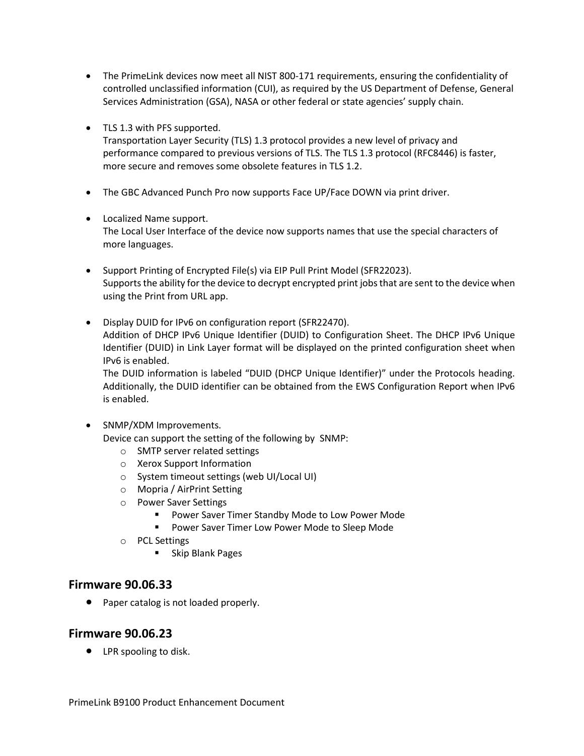- The PrimeLink devices now meet all NIST 800-171 requirements, ensuring the confidentiality of controlled unclassified information (CUI), as required by the US Department of Defense, General Services Administration (GSA), NASA or other federal or state agencies' supply chain.
- TLS 1.3 with PFS supported.

Transportation Layer Security (TLS) 1.3 protocol provides a new level of privacy and performance compared to previous versions of TLS. The TLS 1.3 protocol (RFC8446) is faster, more secure and removes some obsolete features in TLS 1.2.

- The GBC Advanced Punch Pro now supports Face UP/Face DOWN via print driver.
- Localized Name support. The Local User Interface of the device now supports names that use the special characters of more languages.
- Support Printing of Encrypted File(s) via EIP Pull Print Model (SFR22023). Supports the ability for the device to decrypt encrypted print jobs that are sent to the device when using the Print from URL app.
- Display DUID for IPv6 on configuration report (SFR22470). Addition of DHCP IPv6 Unique Identifier (DUID) to Configuration Sheet. The DHCP IPv6 Unique Identifier (DUID) in Link Layer format will be displayed on the printed configuration sheet when IPv6 is enabled.

The DUID information is labeled "DUID (DHCP Unique Identifier)" under the Protocols heading. Additionally, the DUID identifier can be obtained from the EWS Configuration Report when IPv6 is enabled.

• SNMP/XDM Improvements.

Device can support the setting of the following by SNMP:

- o SMTP server related settings
- o Xerox Support Information
- o System timeout settings (web UI/Local UI)
- o Mopria / AirPrint Setting
- o Power Saver Settings
	- Power Saver Timer Standby Mode to Low Power Mode
	- Power Saver Timer Low Power Mode to Sleep Mode
- o PCL Settings
	- Skip Blank Pages

#### **Firmware 90.06.33**

• Paper catalog is not loaded properly.

# **Firmware 90.06.23**

• LPR spooling to disk.